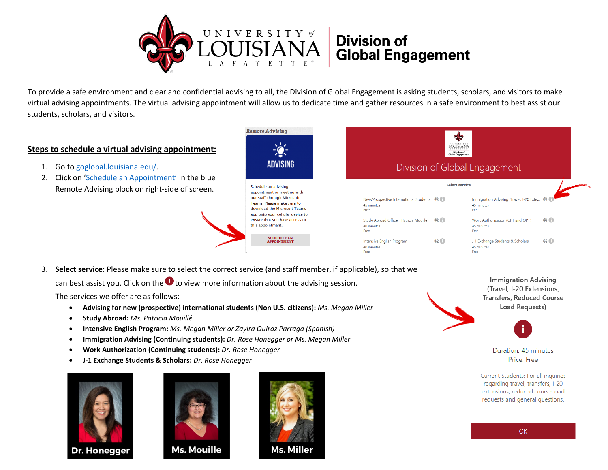

To provide a safe environment and clear and confidential advising to all, the Division of Global Engagement is asking students, scholars, and visitors to make virtual advising appointments. The virtual advising appointment will allow us to dedicate time and gather resources in a safe environment to best assist our students, scholars, and visitors.

40 minutes

Eree

## **Steps to schedule a virtual advising appointment:**

- 1. Go to [goglobal.louisiana.edu/.](https://goglobal.louisiana.edu/)
- 2. Click on ['Schedule an Appointment'](https://outlook.office365.com/owa/calendar/DivisionofGlobalEngagement@louisiana.edu/bookings/) in the blue Remote Advising block on right-side of screen.





45 minutes

Free

3. **Select service**: Please make sure to select the correct service (and staff member, if applicable), so that we

can best assist you. Click on the  $\bullet$  to view more information about the advising session.

The services we offer are as follows:

- **Advising for new (prospective) international students (Non U.S. citizens):** *Ms. Megan Miller*
- **Study Abroad:** *Ms. Patricia Mouillé*
- **Intensive English Program:** *Ms. Megan Miller or Zayira Quiroz Parraga (Spanish)*
- **Immigration Advising (Continuing students):** *Dr. Rose Honegger or Ms. Megan Miller*
- **Work Authorization (Continuing students):** *Dr. Rose Honegger*
- **J-1 Exchange Students & Scholars:** *Dr. Rose Honegger*





**Ms. Mouille** 



**Immigration Advising** (Travel, I-20 Extensions. **Transfers, Reduced Course** Load Requests)



Duration: 45 minutes Price: Free

Current Students: For all inquiries regarding travel, transfers, I-20 extensions, reduced course load requests and general questions.